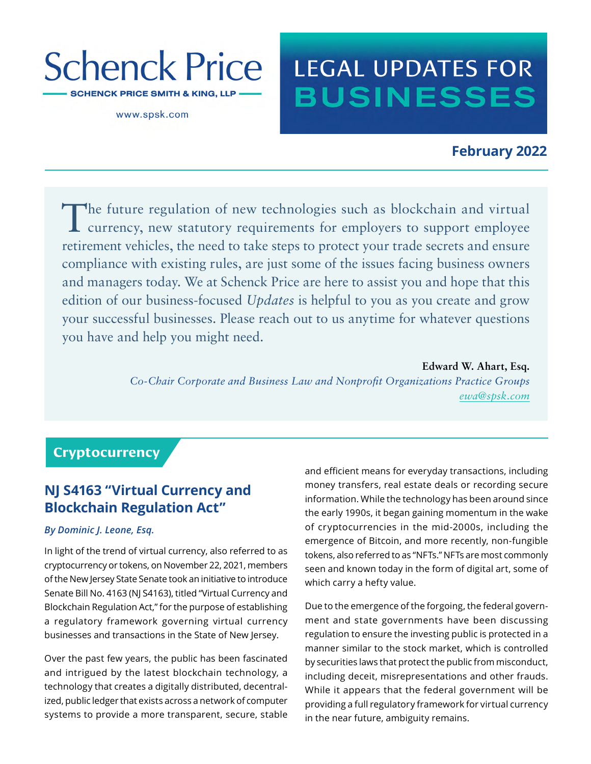# **Schenck Price SCHENCK PRICE SMITH & KING, LLP**

www.spsk.com

# **LEGAL UPDATES FOR BUSINESSES**

### **February 2022**

The future regulation of new technologies such as blockchain and virtual currency, new statutory requirements for employers to support employee retirement vehicles, the need to take steps to protect your trade secrets and ensure compliance with existing rules, are just some of the issues facing business owners and managers today. We at Schenck Price are here to assist you and hope that this edition of our business-focused *Updates* is helpful to you as you create and grow your successful businesses. Please reach out to us anytime for whatever questions you have and help you might need.

> **Edward W. Ahart, Esq.** *Co-Chair Corporate and Business Law and Nonprofit Organizations Practice Groups [ewa@spsk.com](mailto:ewa%40spsk.com%20?subject=)*

# **Cryptocurrency**

# **NJ S4163 "Virtual Currency and Blockchain Regulation Act"**

#### *By Dominic J. Leone, Esq.*

In light of the trend of virtual currency, also referred to as cryptocurrency or tokens, on November 22, 2021, members of the New Jersey State Senate took an initiative to introduce Senate Bill No. 4163 (NJ S4163), titled "Virtual Currency and Blockchain Regulation Act," for the purpose of establishing a regulatory framework governing virtual currency businesses and transactions in the State of New Jersey.

Over the past few years, the public has been fascinated and intrigued by the latest blockchain technology, a technology that creates a digitally distributed, decentralized, public ledger that exists across a network of computer systems to provide a more transparent, secure, stable and efficient means for everyday transactions, including money transfers, real estate deals or recording secure information. While the technology has been around since the early 1990s, it began gaining momentum in the wake of cryptocurrencies in the mid-2000s, including the emergence of Bitcoin, and more recently, non-fungible tokens, also referred to as "NFTs." NFTs are most commonly seen and known today in the form of digital art, some of which carry a hefty value.

Due to the emergence of the forgoing, the federal government and state governments have been discussing regulation to ensure the investing public is protected in a manner similar to the stock market, which is controlled by securities laws that protect the public from misconduct, including deceit, misrepresentations and other frauds. While it appears that the federal government will be providing a full regulatory framework for virtual currency in the near future, ambiguity remains.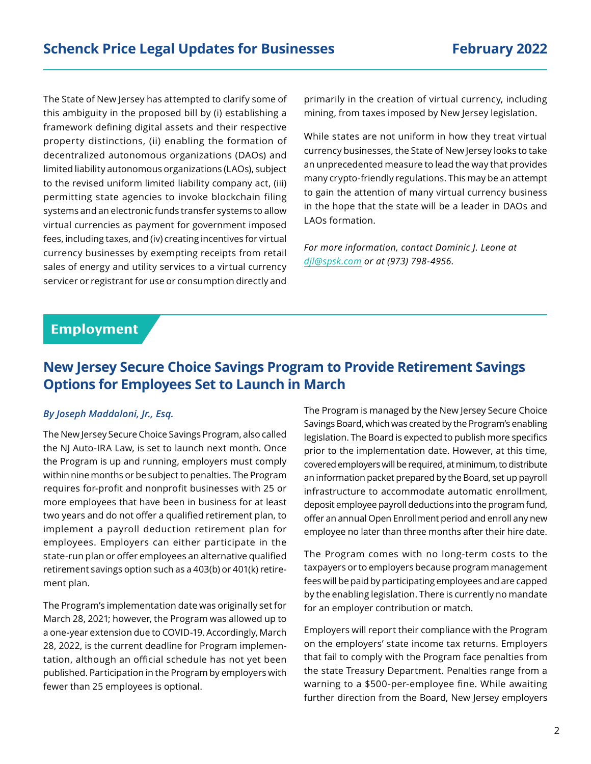The State of New Jersey has attempted to clarify some of this ambiguity in the proposed bill by (i) establishing a framework defining digital assets and their respective property distinctions, (ii) enabling the formation of decentralized autonomous organizations (DAOs) and limited liability autonomous organizations (LAOs), subject to the revised uniform limited liability company act, (iii) permitting state agencies to invoke blockchain filing systems and an electronic funds transfer systems to allow virtual currencies as payment for government imposed fees, including taxes, and (iv) creating incentives for virtual currency businesses by exempting receipts from retail sales of energy and utility services to a virtual currency servicer or registrant for use or consumption directly and primarily in the creation of virtual currency, including mining, from taxes imposed by New Jersey legislation.

While states are not uniform in how they treat virtual currency businesses, the State of New Jersey looks to take an unprecedented measure to lead the way that provides many crypto-friendly regulations. This may be an attempt to gain the attention of many virtual currency business in the hope that the state will be a leader in DAOs and LAOs formation.

*For more information, contact Dominic J. Leone at djl@spsk.com or at (973) 798-4956.*

# **Employment**

# **New Jersey Secure Choice Savings Program to Provide Retirement Savings Options for Employees Set to Launch in March**

#### *By Joseph Maddaloni, Jr., Esq.*

The New Jersey Secure Choice Savings Program, also called the NJ Auto-IRA Law, is set to launch next month. Once the Program is up and running, employers must comply within nine months or be subject to penalties. The Program requires for-profit and nonprofit businesses with 25 or more employees that have been in business for at least two years and do not offer a qualified retirement plan, to implement a payroll deduction retirement plan for employees. Employers can either participate in the state-run plan or offer employees an alternative qualified retirement savings option such as a 403(b) or 401(k) retirement plan.

The Program's implementation date was originally set for March 28, 2021; however, the Program was allowed up to a one-year extension due to COVID-19. Accordingly, March 28, 2022, is the current deadline for Program implementation, although an official schedule has not yet been published. Participation in the Program by employers with fewer than 25 employees is optional.

The Program is managed by the New Jersey Secure Choice Savings Board, which was created by the Program's enabling legislation. The Board is expected to publish more specifics prior to the implementation date. However, at this time, covered employers will be required, at minimum, to distribute an information packet prepared by the Board, set up payroll infrastructure to accommodate automatic enrollment, deposit employee payroll deductions into the program fund, offer an annual Open Enrollment period and enroll any new employee no later than three months after their hire date.

The Program comes with no long-term costs to the taxpayers or to employers because program management fees will be paid by participating employees and are capped by the enabling legislation. There is currently no mandate for an employer contribution or match.

Employers will report their compliance with the Program on the employers' state income tax returns. Employers that fail to comply with the Program face penalties from the state Treasury Department. Penalties range from a warning to a \$500-per-employee fine. While awaiting further direction from the Board, New Jersey employers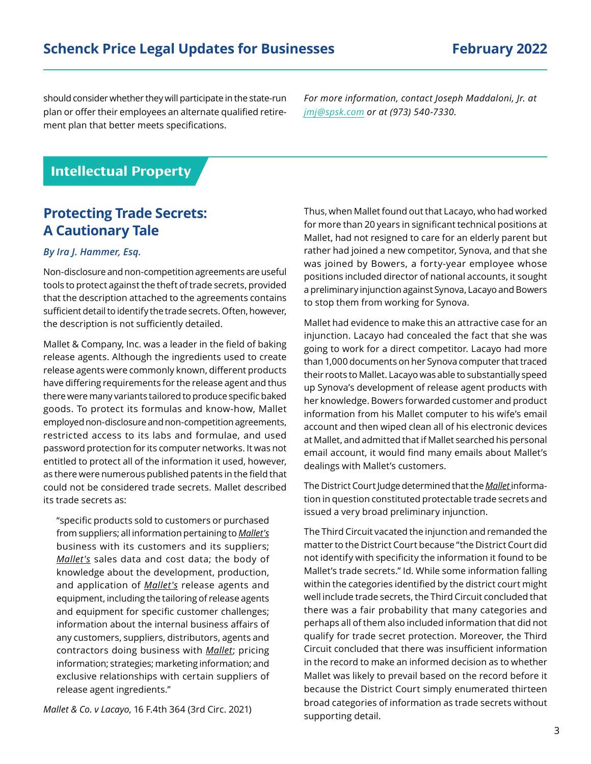should consider whether they will participate in the state-run plan or offer their employees an alternate qualified retirement plan that better meets specifications.

*For more information, contact Joseph Maddaloni, Jr. at jmj@spsk.com or at (973) 540-7330.*

### **Intellectual Property**

# **Protecting Trade Secrets: A Cautionary Tale**

#### *By Ira J. Hammer, Esq.*

Non-disclosure and non-competition agreements are useful tools to protect against the theft of trade secrets, provided that the description attached to the agreements contains sufficient detail to identify the trade secrets. Often, however, the description is not sufficiently detailed.

Mallet & Company, Inc. was a leader in the field of baking release agents. Although the ingredients used to create release agents were commonly known, different products have differing requirements for the release agent and thus there were many variants tailored to produce specific baked goods. To protect its formulas and know-how, Mallet employed non-disclosure and non-competition agreements, restricted access to its labs and formulae, and used password protection for its computer networks. It was not entitled to protect all of the information it used, however, as there were numerous published patents in the field that could not be considered trade secrets. Mallet described its trade secrets as:

"specific products sold to customers or purchased from suppliers; all information pertaining to *Mallet's* business with its customers and its suppliers; *Mallet's* sales data and cost data; the body of knowledge about the development, production, and application of *Mallet's* release agents and equipment, including the tailoring of release agents and equipment for specific customer challenges; information about the internal business affairs of any customers, suppliers, distributors, agents and contractors doing business with *Mallet*; pricing information; strategies; marketing information; and exclusive relationships with certain suppliers of release agent ingredients."

*Mallet & Co. v Lacayo*, 16 F.4th 364 (3rd Circ. 2021)

Thus, when Mallet found out that Lacayo, who had worked for more than 20 years in significant technical positions at Mallet, had not resigned to care for an elderly parent but rather had joined a new competitor, Synova, and that she was joined by Bowers, a forty-year employee whose positions included director of national accounts, it sought a preliminary injunction against Synova, Lacayo and Bowers to stop them from working for Synova.

Mallet had evidence to make this an attractive case for an injunction. Lacayo had concealed the fact that she was going to work for a direct competitor. Lacayo had more than 1,000 documents on her Synova computer that traced their roots to Mallet. Lacayo was able to substantially speed up Synova's development of release agent products with her knowledge. Bowers forwarded customer and product information from his Mallet computer to his wife's email account and then wiped clean all of his electronic devices at Mallet, and admitted that if Mallet searched his personal email account, it would find many emails about Mallet's dealings with Mallet's customers.

The District Court Judge determined that the *Mallet* information in question constituted protectable trade secrets and issued a very broad preliminary injunction.

The Third Circuit vacated the injunction and remanded the matter to the District Court because "the District Court did not identify with specificity the information it found to be Mallet's trade secrets." Id. While some information falling within the categories identified by the district court might well include trade secrets, the Third Circuit concluded that there was a fair probability that many categories and perhaps all of them also included information that did not qualify for trade secret protection. Moreover, the Third Circuit concluded that there was insufficient information in the record to make an informed decision as to whether Mallet was likely to prevail based on the record before it because the District Court simply enumerated thirteen broad categories of information as trade secrets without supporting detail.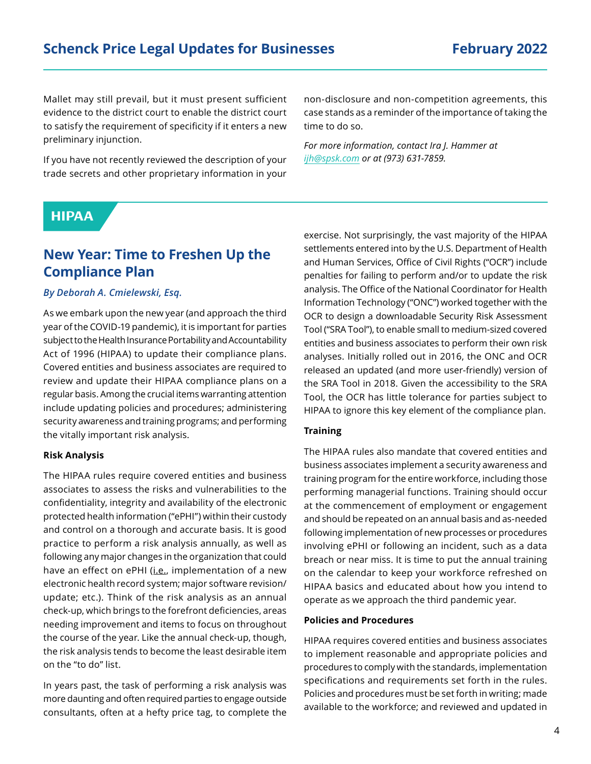Mallet may still prevail, but it must present sufficient evidence to the district court to enable the district court to satisfy the requirement of specificity if it enters a new preliminary injunction.

If you have not recently reviewed the description of your trade secrets and other proprietary information in your non-disclosure and non-competition agreements, this case stands as a reminder of the importance of taking the time to do so.

*For more information, contact Ira J. Hammer at ijh@spsk.com or at (973) 631-7859.*

### **HIPAA**

## **New Year: Time to Freshen Up the Compliance Plan**

#### *By Deborah A. Cmielewski, Esq.*

As we embark upon the new year (and approach the third year of the COVID-19 pandemic), it is important for parties subject to the Health Insurance Portability and Accountability Act of 1996 (HIPAA) to update their compliance plans. Covered entities and business associates are required to review and update their HIPAA compliance plans on a regular basis. Among the crucial items warranting attention include updating policies and procedures; administering security awareness and training programs; and performing the vitally important risk analysis.

#### **Risk Analysis**

The HIPAA rules require covered entities and business associates to assess the risks and vulnerabilities to the confidentiality, integrity and availability of the electronic protected health information ("ePHI") within their custody and control on a thorough and accurate basis. It is good practice to perform a risk analysis annually, as well as following any major changes in the organization that could have an effect on ePHI (*i.e.*, implementation of a new electronic health record system; major software revision/ update; etc.). Think of the risk analysis as an annual check-up, which brings to the forefront deficiencies, areas needing improvement and items to focus on throughout the course of the year. Like the annual check-up, though, the risk analysis tends to become the least desirable item on the "to do" list.

In years past, the task of performing a risk analysis was more daunting and often required parties to engage outside consultants, often at a hefty price tag, to complete the

exercise. Not surprisingly, the vast majority of the HIPAA settlements entered into by the U.S. Department of Health and Human Services, Office of Civil Rights ("OCR") include penalties for failing to perform and/or to update the risk analysis. The Office of the National Coordinator for Health Information Technology ("ONC") worked together with the OCR to design a downloadable Security Risk Assessment Tool ("SRA Tool"), to enable small to medium-sized covered entities and business associates to perform their own risk analyses. Initially rolled out in 2016, the ONC and OCR released an updated (and more user-friendly) version of the SRA Tool in 2018. Given the accessibility to the SRA Tool, the OCR has little tolerance for parties subject to HIPAA to ignore this key element of the compliance plan.

#### **Training**

The HIPAA rules also mandate that covered entities and business associates implement a security awareness and training program for the entire workforce, including those performing managerial functions. Training should occur at the commencement of employment or engagement and should be repeated on an annual basis and as-needed following implementation of new processes or procedures involving ePHI or following an incident, such as a data breach or near miss. It is time to put the annual training on the calendar to keep your workforce refreshed on HIPAA basics and educated about how you intend to operate as we approach the third pandemic year.

#### **Policies and Procedures**

HIPAA requires covered entities and business associates to implement reasonable and appropriate policies and procedures to comply with the standards, implementation specifications and requirements set forth in the rules. Policies and procedures must be set forth in writing; made available to the workforce; and reviewed and updated in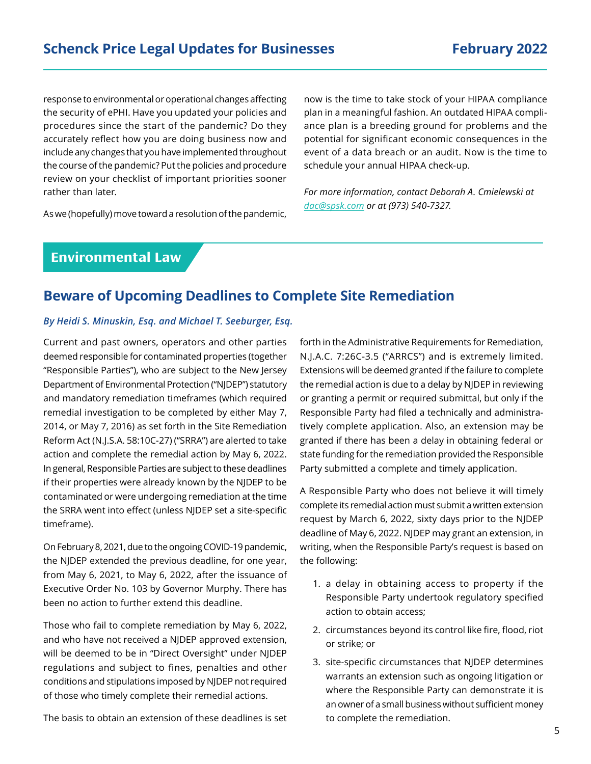response to environmental or operational changes affecting the security of ePHI. Have you updated your policies and procedures since the start of the pandemic? Do they accurately reflect how you are doing business now and include any changes that you have implemented throughout the course of the pandemic? Put the policies and procedure review on your checklist of important priorities sooner rather than later.

As we (hopefully) move toward a resolution of the pandemic,

now is the time to take stock of your HIPAA compliance plan in a meaningful fashion. An outdated HIPAA compliance plan is a breeding ground for problems and the potential for significant economic consequences in the event of a data breach or an audit. Now is the time to schedule your annual HIPAA check-up.

*For more information, contact Deborah A. Cmielewski at dac@spsk.com or at (973) 540-7327.*

# **Environmental Law**

### **Beware of Upcoming Deadlines to Complete Site Remediation**

#### *By Heidi S. Minuskin, Esq. and Michael T. Seeburger, Esq.*

Current and past owners, operators and other parties deemed responsible for contaminated properties (together "Responsible Parties"), who are subject to the New Jersey Department of Environmental Protection ("NJDEP") statutory and mandatory remediation timeframes (which required remedial investigation to be completed by either May 7, 2014, or May 7, 2016) as set forth in the Site Remediation Reform Act (N.J.S.A. 58:10C-27) ("SRRA") are alerted to take action and complete the remedial action by May 6, 2022. In general, Responsible Parties are subject to these deadlines if their properties were already known by the NJDEP to be contaminated or were undergoing remediation at the time the SRRA went into effect (unless NJDEP set a site-specific timeframe).

On February 8, 2021, due to the ongoing COVID-19 pandemic, the NJDEP extended the previous deadline, for one year, from May 6, 2021, to May 6, 2022, after the issuance of Executive Order No. 103 by Governor Murphy. There has been no action to further extend this deadline.

Those who fail to complete remediation by May 6, 2022, and who have not received a NJDEP approved extension, will be deemed to be in "Direct Oversight" under NJDEP regulations and subject to fines, penalties and other conditions and stipulations imposed by NJDEP not required of those who timely complete their remedial actions.

The basis to obtain an extension of these deadlines is set

forth in the Administrative Requirements for Remediation, N.J.A.C. 7:26C-3.5 ("ARRCS") and is extremely limited. Extensions will be deemed granted if the failure to complete the remedial action is due to a delay by NJDEP in reviewing or granting a permit or required submittal, but only if the Responsible Party had filed a technically and administratively complete application. Also, an extension may be granted if there has been a delay in obtaining federal or state funding for the remediation provided the Responsible Party submitted a complete and timely application.

A Responsible Party who does not believe it will timely complete its remedial action must submit a written extension request by March 6, 2022, sixty days prior to the NJDEP deadline of May 6, 2022. NJDEP may grant an extension, in writing, when the Responsible Party's request is based on the following:

- 1. a delay in obtaining access to property if the Responsible Party undertook regulatory specified action to obtain access;
- 2. circumstances beyond its control like fire, flood, riot or strike; or
- 3. site-specific circumstances that NJDEP determines warrants an extension such as ongoing litigation or where the Responsible Party can demonstrate it is an owner of a small business without sufficient money to complete the remediation.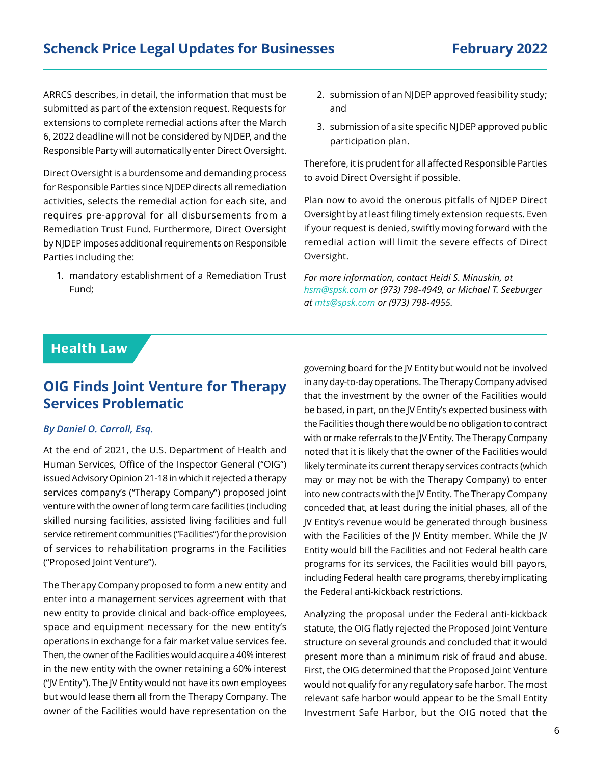ARRCS describes, in detail, the information that must be submitted as part of the extension request. Requests for extensions to complete remedial actions after the March 6, 2022 deadline will not be considered by NJDEP, and the Responsible Party will automatically enter Direct Oversight.

Direct Oversight is a burdensome and demanding process for Responsible Parties since NJDEP directs all remediation activities, selects the remedial action for each site, and requires pre-approval for all disbursements from a Remediation Trust Fund. Furthermore, Direct Oversight by NJDEP imposes additional requirements on Responsible Parties including the:

1. mandatory establishment of a Remediation Trust Fund;

- 2. submission of an NJDEP approved feasibility study; and
- 3. submission of a site specific NJDEP approved public participation plan.

Therefore, it is prudent for all affected Responsible Parties to avoid Direct Oversight if possible.

Plan now to avoid the onerous pitfalls of NJDEP Direct Oversight by at least filing timely extension requests. Even if your request is denied, swiftly moving forward with the remedial action will limit the severe effects of Direct Oversight.

*For more information, contact Heidi S. Minuskin, at hsm@spsk.com or (973) 798-4949, or Michael T. Seeburger at mts@spsk.com or (973) 798-4955.*

# **Health Law**

# **OIG Finds Joint Venture for Therapy Services Problematic**

#### *By Daniel O. Carroll, Esq.*

At the end of 2021, the U.S. Department of Health and Human Services, Office of the Inspector General ("OIG") issued Advisory Opinion 21-18 in which it rejected a therapy services company's ("Therapy Company") proposed joint venture with the owner of long term care facilities (including skilled nursing facilities, assisted living facilities and full service retirement communities ("Facilities") for the provision of services to rehabilitation programs in the Facilities ("Proposed Joint Venture").

The Therapy Company proposed to form a new entity and enter into a management services agreement with that new entity to provide clinical and back-office employees, space and equipment necessary for the new entity's operations in exchange for a fair market value services fee. Then, the owner of the Facilities would acquire a 40% interest in the new entity with the owner retaining a 60% interest ("JV Entity"). The JV Entity would not have its own employees but would lease them all from the Therapy Company. The owner of the Facilities would have representation on the

governing board for the JV Entity but would not be involved in any day-to-day operations. The Therapy Company advised that the investment by the owner of the Facilities would be based, in part, on the JV Entity's expected business with the Facilities though there would be no obligation to contract with or make referrals to the JV Entity. The Therapy Company noted that it is likely that the owner of the Facilities would likely terminate its current therapy services contracts (which may or may not be with the Therapy Company) to enter into new contracts with the JV Entity. The Therapy Company conceded that, at least during the initial phases, all of the JV Entity's revenue would be generated through business with the Facilities of the JV Entity member. While the JV Entity would bill the Facilities and not Federal health care programs for its services, the Facilities would bill payors, including Federal health care programs, thereby implicating the Federal anti-kickback restrictions.

Analyzing the proposal under the Federal anti-kickback statute, the OIG flatly rejected the Proposed Joint Venture structure on several grounds and concluded that it would present more than a minimum risk of fraud and abuse. First, the OIG determined that the Proposed Joint Venture would not qualify for any regulatory safe harbor. The most relevant safe harbor would appear to be the Small Entity Investment Safe Harbor, but the OIG noted that the